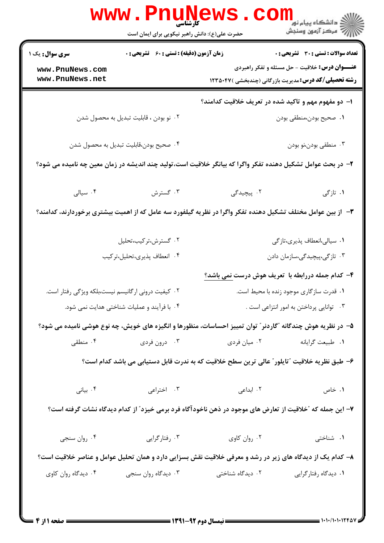|                                                                                                             | حضرت علی(ع): دانش راهبر نیکویی برای ایمان است                                                                |                  | ڪ دانشڪاه پيام نور <mark>−</mark><br>/7 مرکز آزمون وسنڊش                                                                   |  |  |  |
|-------------------------------------------------------------------------------------------------------------|--------------------------------------------------------------------------------------------------------------|------------------|----------------------------------------------------------------------------------------------------------------------------|--|--|--|
| <b>سری سوال :</b> یک ۱                                                                                      | <b>زمان آزمون (دقیقه) : تستی : 60 ٪ تشریحی : 0</b>                                                           |                  | <b>تعداد سوالات : تستی : 30 ٪ تشریحی : 0</b>                                                                               |  |  |  |
| www.PnuNews.com<br>www.PnuNews.net                                                                          |                                                                                                              |                  | <del>عنــــوان درس:</del> خلاقیت - حل مسئله و تفکر راهبردی<br><b>رشته تحصیلی/کد درس:</b> مدیریت بازرگانی (چندبخشی )۱۲۳۵۰۴۷ |  |  |  |
|                                                                                                             |                                                                                                              |                  |                                                                                                                            |  |  |  |
|                                                                                                             |                                                                                                              |                  | ا– دو مفهوم مهم و تاکید شده در تعریف خلاقیت کدامند؟                                                                        |  |  |  |
|                                                                                                             | ۰۲ نو بودن ، قابلیت تبدیل به محصول شدن                                                                       |                  | ٠١. صحيح بودن،منطقي بودن                                                                                                   |  |  |  |
|                                                                                                             | ۰۴ صحیح بودن،قابلیت تبدیل به محصول شدن                                                                       |                  | ۰۳ منطقي بودن،نو بودن                                                                                                      |  |  |  |
| ۲– در بحث عوامل تشکیل دهنده تفکر واگرا که بیانگر خلاقیت است،تولید چند اندیشه در زمان معین چه نامیده می شود؟ |                                                                                                              |                  |                                                                                                                            |  |  |  |
| ۰۴ سيالى                                                                                                    | ۰۳ گسترش                                                                                                     | ۲. پیچیدگی       | ۰۱ تازگی                                                                                                                   |  |  |  |
|                                                                                                             | ۳- از بین عوامل مختلف تشکیل دهنده تفکر واگرا در نظریه گیلفورد سه عامل که از اهمیت بیشتری برخوردارند، کدامند؟ |                  |                                                                                                                            |  |  |  |
|                                                                                                             | ۰۲ گسترش،ترکیب،تحلیل                                                                                         |                  | ۰۱ سیالی،انعطاف پذیری،تازگی                                                                                                |  |  |  |
|                                                                                                             | ۰۴ انعطاف پذیری،تحلیل،ترکیب                                                                                  |                  | ۰۳ تازگی،پیچیدگی،سازمان دادن                                                                                               |  |  |  |
|                                                                                                             |                                                                                                              |                  | ۴– کدام جمله دررابطه با  تعریف هوش درست <u>نمی باشد؟</u>                                                                   |  |  |  |
| ۰۲ کیفیت درونی ارگانیسم نیست،بلکه ویژگی رفتار است.                                                          |                                                                                                              |                  | ۰۱ قدرت سازگاری موجود زنده با محیط است.                                                                                    |  |  |  |
|                                                                                                             | ۰۴ با فرآیند و عملیات شناختی هدایت نمی شود.                                                                  |                  | ۰۳ توانایی پرداختن به امور انتزاعی است .                                                                                   |  |  |  |
|                                                                                                             | ۵– در نظریه هوش چندگانه "گاردنر" توان تمییز احساسات، منظورها و انگیزه های خویش، چه نوع هوشی نامیده می شود؟   |                  |                                                                                                                            |  |  |  |
| ۰۴ منطقی                                                                                                    | ۰۳ درون فردی                                                                                                 | ۰۲ میان فردی     | ۰۱ طبیعت گرایانه                                                                                                           |  |  |  |
| ۶– طبق نظریه خلاقیت "تایلور" عالی ترین سطح خلاقیت که به ندرت قابل دستیابی می باشد کدام است؟                 |                                                                                                              |                  |                                                                                                                            |  |  |  |
| ۰۴ بیانی                                                                                                    | ۰۳ اختراعی                                                                                                   | ۰۲ ابداعی        | ۰۱ خاص                                                                                                                     |  |  |  |
|                                                                                                             | ۷– این جمله که ″خلاقیت از تعارض های موجود در ذهن ناخودآگاه فرد برمی خیزد″ از کدام دیدگاه نشات گرفته است؟     |                  |                                                                                                                            |  |  |  |
| ۰۴ روان سنجي                                                                                                | ۰۳ رفتارگرایی                                                                                                | ۰۲ روان کاوی     | ۰۱ شناختی                                                                                                                  |  |  |  |
|                                                                                                             | ۸– کدام یک از دیدگاه های زیر در رشد و معرفی خلاقیت نقش بسزایی دارد و همان تحلیل عوامل و عناصر خلاقیت است؟    |                  |                                                                                                                            |  |  |  |
| ۰۴ دیدگاه روان کاوی                                                                                         | ۰۳ دیدگاه روان سنجي                                                                                          | ۰۲ دیدگاه شناختی | ۰۱ دیدگاه رفتارگرایی                                                                                                       |  |  |  |
|                                                                                                             |                                                                                                              |                  |                                                                                                                            |  |  |  |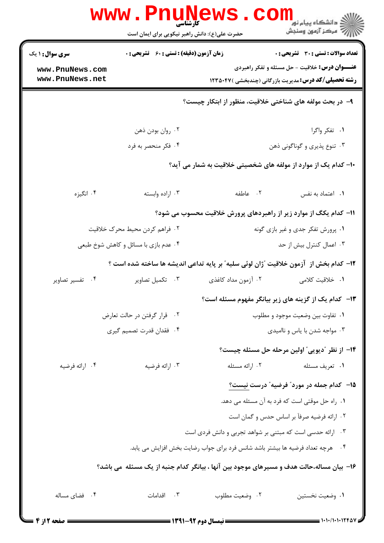| <b>زمان آزمون (دقیقه) : تستی : 60 ٪ تشریحی : 0</b><br><b>سری سوال : ۱ یک</b> |                                                                                           |                                                           | <b>تعداد سوالات : تستی : 30 ٪ تشریحی : 0</b>                      |  |
|------------------------------------------------------------------------------|-------------------------------------------------------------------------------------------|-----------------------------------------------------------|-------------------------------------------------------------------|--|
| www.PnuNews.com                                                              |                                                                                           |                                                           | <b>عنـــوان درس:</b> خلاقیت - حل مسئله و تفکر راهبردی             |  |
| www.PnuNews.net                                                              |                                                                                           |                                                           | <b>رشته تحصیلی/کد درس:</b> مدیریت بازرگانی (چندبخشی )۱۲۳۵۰۴۷      |  |
|                                                                              |                                                                                           |                                                           | ۹- در بحث مولفه های شناختی خلاقیت، منظور از ابتکار چیست؟          |  |
|                                                                              | ۰۲ روان بودن ذهن                                                                          |                                                           | ۰۱ تفکر واگرا                                                     |  |
|                                                                              | ۰۴ فکر منحصر به فرد                                                                       |                                                           | ۰۳ تنوع پذیری و گوناگونی ذهن                                      |  |
|                                                                              |                                                                                           |                                                           | ۱۰– کدام یک از موارد از مولفه های شخصیتی خلاقیت به شمار می آید؟   |  |
| ۰۴ انگیزه                                                                    | ۰۳ اراده وابسته                                                                           | ۰۲ عاطفه                                                  | ٠١. اعتماد به نفس                                                 |  |
|                                                                              |                                                                                           |                                                           | 1۱– کدام یکگ از موارد زیر از راهبردهای پرورش خلاقیت محسوب می شود؟ |  |
| ۰۲ فراهم کردن محیط محرک خلاقیت                                               |                                                                                           | ۰۱ پرورش تفکر جدی و غیر بازی گونه                         |                                                                   |  |
|                                                                              | ۰۴ عدم بازی با مسائل و کاهش شوخ طبعی                                                      | ۰۳ اعمال کنترل بیش از حد                                  |                                                                   |  |
|                                                                              | ١٢- كدام بخش از آزمون خلاقيت "ژان لوئي سليه" بر پايه تداعي انديشه ها ساخته شده است ؟      |                                                           |                                                                   |  |
| ۰۴ تفسیر تصاویر                                                              | ۰۳ تکمیل تصاویر                                                                           | ۰۲ آزمون مداد کاغذی                                       | ۱.  خلاقیت کلامی                                                  |  |
|                                                                              |                                                                                           |                                                           | ۱۳- کدام یک از گزینه های زیر بیانگر مفهوم مسئله است؟              |  |
|                                                                              | ٠٢ قرار گرفتن در حالت تعارض                                                               | ٠١ تفاوت بين وضعيت موجود و مطلوب                          |                                                                   |  |
|                                                                              | ۰۴ فقدان قدرت تصميم گيري                                                                  | ۰۳ مواجه شدن با یاس و ناامیدی                             |                                                                   |  |
|                                                                              |                                                                                           |                                                           | ۱۴– از نظر "دیویی" اولین مرحله حل مسئله چیست؟                     |  |
| ۰۴ ارائه فرضيه                                                               | ۰۳ ارائه فرضيه                                                                            | ۰۲ ارائه مسئله                                            | ۰۱ تعریف مسئله                                                    |  |
|                                                                              |                                                                                           |                                                           | ۱۵– کدام جمله در مورد" فرضیه" درست نیست؟                          |  |
|                                                                              |                                                                                           |                                                           | ۰۱ راه حل موقتی است که فرد به آن مسئله می دهد.                    |  |
|                                                                              |                                                                                           |                                                           | ۰۲ ارائه فرضیه صرفاً بر اساس حدس و گمان است                       |  |
|                                                                              |                                                                                           | ۰۳ ارائه حدسی است که مبتنی بر شواهد تجربی و دانش فردی است |                                                                   |  |
|                                                                              | ۰۴ هرچه تعداد فرضیه ها بیشتر باشد شانس فرد برای جواب رضایت بخش افزایش می یابد.            |                                                           |                                                                   |  |
|                                                                              | ۱۶– بیان مساله،حالت هدف و مسیرهای موجود بین آنها ، بیانگر کدام جنبه از یک مسئله ًمی باشد؟ |                                                           |                                                                   |  |
| ۰۴ فضای مساله                                                                | ۰۳ اقدامات                                                                                | ٠٢ وضعيت مطلوب                                            | ٠١. وضعيت نخستين                                                  |  |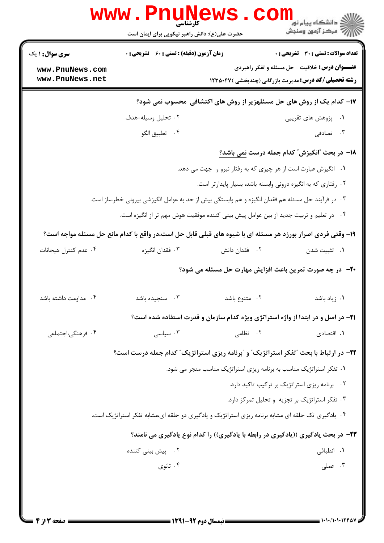| <b>زمان آزمون (دقیقه) : تستی : 60 ٪ تشریحی : 0</b><br>۱۷- کدام یک از روش های حل مسئلهزیر از روش های اکتشافی محسوب نمی شود؟<br>۰۱ انگیزش عبارت است از هر چیزی که به رفتار نیرو و جهت می دهد.<br>۰۳ در فرآیند حل مسئله هم فقدان انگیزه و هم وابستگی بیش از حد به عوامل انگیزشی بیرونی خطرساز است. | <b>تعداد سوالات : تستی : 30 ٪ تشریحی : 0</b><br><b>عنـــوان درس:</b> خلاقیت - حل مسئله و تفکر راهبردی<br><b>رشته تحصیلی/کد درس:</b> مدیریت بازرگانی (چندبخشی )۱۲۳۵۰۴۷<br>۰۱ پژوهش های تقریبی<br>18– در بحث "انگیزش" کدام جمله درست نمی باشد؟<br>۰۲ رفتاری که به انگیزه درونی وابسته باشد، بسیار پایدارتر است. | ۰۳ تصادفی                                                                                                                                                                                                                              |
|-------------------------------------------------------------------------------------------------------------------------------------------------------------------------------------------------------------------------------------------------------------------------------------------------|---------------------------------------------------------------------------------------------------------------------------------------------------------------------------------------------------------------------------------------------------------------------------------------------------------------|----------------------------------------------------------------------------------------------------------------------------------------------------------------------------------------------------------------------------------------|
|                                                                                                                                                                                                                                                                                                 |                                                                                                                                                                                                                                                                                                               |                                                                                                                                                                                                                                        |
|                                                                                                                                                                                                                                                                                                 |                                                                                                                                                                                                                                                                                                               |                                                                                                                                                                                                                                        |
|                                                                                                                                                                                                                                                                                                 |                                                                                                                                                                                                                                                                                                               |                                                                                                                                                                                                                                        |
|                                                                                                                                                                                                                                                                                                 |                                                                                                                                                                                                                                                                                                               |                                                                                                                                                                                                                                        |
|                                                                                                                                                                                                                                                                                                 |                                                                                                                                                                                                                                                                                                               |                                                                                                                                                                                                                                        |
|                                                                                                                                                                                                                                                                                                 |                                                                                                                                                                                                                                                                                                               |                                                                                                                                                                                                                                        |
|                                                                                                                                                                                                                                                                                                 |                                                                                                                                                                                                                                                                                                               |                                                                                                                                                                                                                                        |
|                                                                                                                                                                                                                                                                                                 |                                                                                                                                                                                                                                                                                                               |                                                                                                                                                                                                                                        |
|                                                                                                                                                                                                                                                                                                 |                                                                                                                                                                                                                                                                                                               |                                                                                                                                                                                                                                        |
| ۰۴ در تعلیم و تربیت جدید از بین عوامل پیش بینی کننده موفقیت هوش مهم تر از انگیزه است.                                                                                                                                                                                                           |                                                                                                                                                                                                                                                                                                               |                                                                                                                                                                                                                                        |
| ۱۹- وقتی فردی اصرار بورزد هر مسئله ای با شیوه های قبلی قابل حل است،در واقع با کدام مانع حل مسئله مواجه است؟                                                                                                                                                                                     |                                                                                                                                                                                                                                                                                                               |                                                                                                                                                                                                                                        |
| ۰۲ فقدان دانش                                                                                                                                                                                                                                                                                   | ۰۱ تثبیت شدن                                                                                                                                                                                                                                                                                                  |                                                                                                                                                                                                                                        |
| +۲- در چه صورت تمرین باعث افزایش مهارت حل مسئله می شود؟                                                                                                                                                                                                                                         |                                                                                                                                                                                                                                                                                                               |                                                                                                                                                                                                                                        |
| ۰۲ متنوع باشد                                                                                                                                                                                                                                                                                   |                                                                                                                                                                                                                                                                                                               | ۰۱ زیاد باشد                                                                                                                                                                                                                           |
| <b>۲۱</b> - در اصل و در ابتدا از واژه استراتژی ویژه کدام سازمان و قدرت استفاده شده است؟                                                                                                                                                                                                         |                                                                                                                                                                                                                                                                                                               |                                                                                                                                                                                                                                        |
| ۰۲ نظامی                                                                                                                                                                                                                                                                                        |                                                                                                                                                                                                                                                                                                               | ۰۱ اقتصادی                                                                                                                                                                                                                             |
| ۲۲- در ارتباط با بحث "تفکر استراتژیک" و "برنامه ریزی استراتژیک" کدام جمله درست است؟                                                                                                                                                                                                             |                                                                                                                                                                                                                                                                                                               |                                                                                                                                                                                                                                        |
|                                                                                                                                                                                                                                                                                                 |                                                                                                                                                                                                                                                                                                               |                                                                                                                                                                                                                                        |
| ٠١ تفكر استراتژيک مناسب به برنامه ريزي استراتژيک مناسب منجر مي شود.                                                                                                                                                                                                                             | ۰۲ برنامه ریزی استراتژیک بر ترکیب تاکید دارد.                                                                                                                                                                                                                                                                 |                                                                                                                                                                                                                                        |
|                                                                                                                                                                                                                                                                                                 |                                                                                                                                                                                                                                                                                                               |                                                                                                                                                                                                                                        |
|                                                                                                                                                                                                                                                                                                 |                                                                                                                                                                                                                                                                                                               |                                                                                                                                                                                                                                        |
|                                                                                                                                                                                                                                                                                                 |                                                                                                                                                                                                                                                                                                               |                                                                                                                                                                                                                                        |
|                                                                                                                                                                                                                                                                                                 |                                                                                                                                                                                                                                                                                                               |                                                                                                                                                                                                                                        |
|                                                                                                                                                                                                                                                                                                 |                                                                                                                                                                                                                                                                                                               | ۰۱ انطباق <i>ی</i>                                                                                                                                                                                                                     |
|                                                                                                                                                                                                                                                                                                 |                                                                                                                                                                                                                                                                                                               | ۰۳ تفکر استراتژیک بر تجزیه و تحلیل تمرکز دارد.<br>۰۴ یادگیری تک حلقه ای مشابه برنامه ریزی استراتژیک و یادگیری دو حلقه ای،مشابه تفکر استراتژیک است.<br>۲۳- در بحث یادگیری ((یادگیری در رابطه با یادگیری)) را کدام نوع یادگیری می نامند؟ |